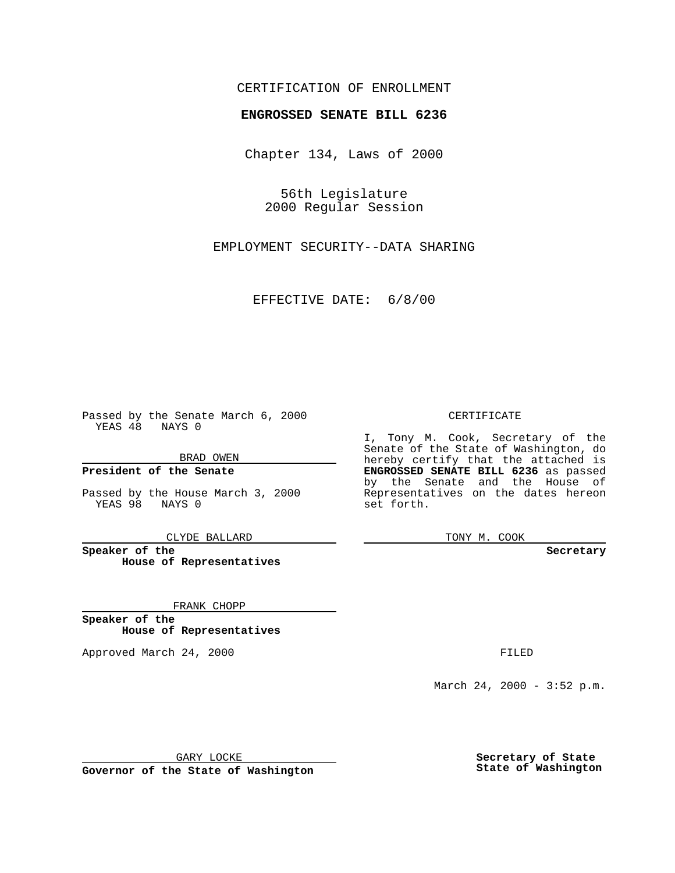### CERTIFICATION OF ENROLLMENT

# **ENGROSSED SENATE BILL 6236**

Chapter 134, Laws of 2000

56th Legislature 2000 Regular Session

EMPLOYMENT SECURITY--DATA SHARING

EFFECTIVE DATE: 6/8/00

Passed by the Senate March 6, 2000 YEAS 48 NAYS 0

BRAD OWEN

**President of the Senate**

Passed by the House March 3, 2000 YEAS 98 NAYS 0

CLYDE BALLARD

**Speaker of the House of Representatives**

FRANK CHOPP

**Speaker of the House of Representatives**

Approved March 24, 2000 FILED

### CERTIFICATE

I, Tony M. Cook, Secretary of the Senate of the State of Washington, do hereby certify that the attached is **ENGROSSED SENATE BILL 6236** as passed by the Senate and the House of Representatives on the dates hereon set forth.

TONY M. COOK

#### **Secretary**

March 24, 2000 - 3:52 p.m.

GARY LOCKE

**Governor of the State of Washington**

**Secretary of State State of Washington**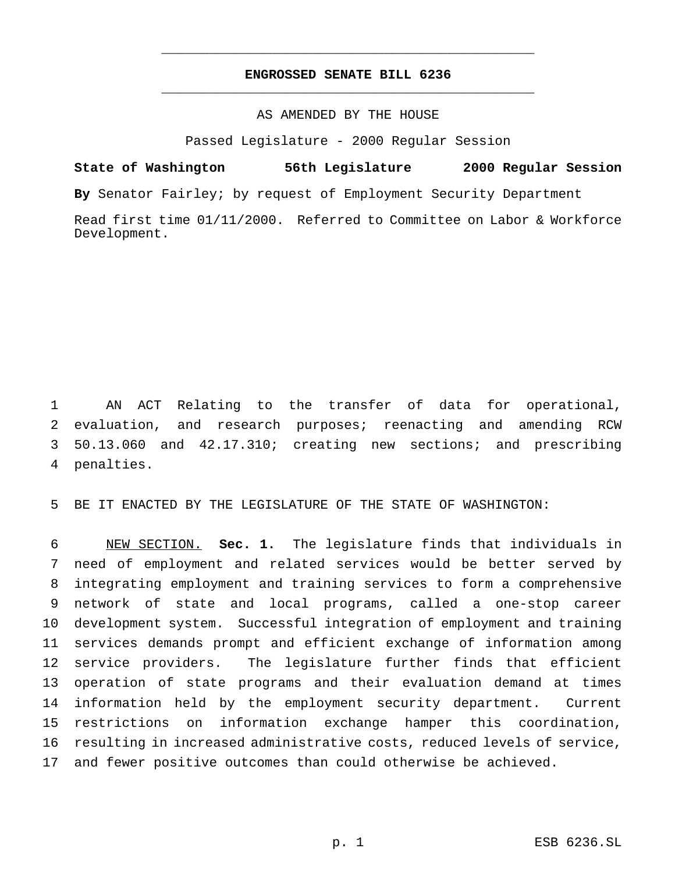# **ENGROSSED SENATE BILL 6236** \_\_\_\_\_\_\_\_\_\_\_\_\_\_\_\_\_\_\_\_\_\_\_\_\_\_\_\_\_\_\_\_\_\_\_\_\_\_\_\_\_\_\_\_\_\_\_

\_\_\_\_\_\_\_\_\_\_\_\_\_\_\_\_\_\_\_\_\_\_\_\_\_\_\_\_\_\_\_\_\_\_\_\_\_\_\_\_\_\_\_\_\_\_\_

## AS AMENDED BY THE HOUSE

Passed Legislature - 2000 Regular Session

**State of Washington 56th Legislature 2000 Regular Session**

**By** Senator Fairley; by request of Employment Security Department

Read first time 01/11/2000. Referred to Committee on Labor & Workforce Development.

 AN ACT Relating to the transfer of data for operational, evaluation, and research purposes; reenacting and amending RCW 50.13.060 and 42.17.310; creating new sections; and prescribing penalties.

BE IT ENACTED BY THE LEGISLATURE OF THE STATE OF WASHINGTON:

 NEW SECTION. **Sec. 1.** The legislature finds that individuals in need of employment and related services would be better served by integrating employment and training services to form a comprehensive network of state and local programs, called a one-stop career development system. Successful integration of employment and training services demands prompt and efficient exchange of information among service providers. The legislature further finds that efficient operation of state programs and their evaluation demand at times information held by the employment security department. Current restrictions on information exchange hamper this coordination, resulting in increased administrative costs, reduced levels of service, and fewer positive outcomes than could otherwise be achieved.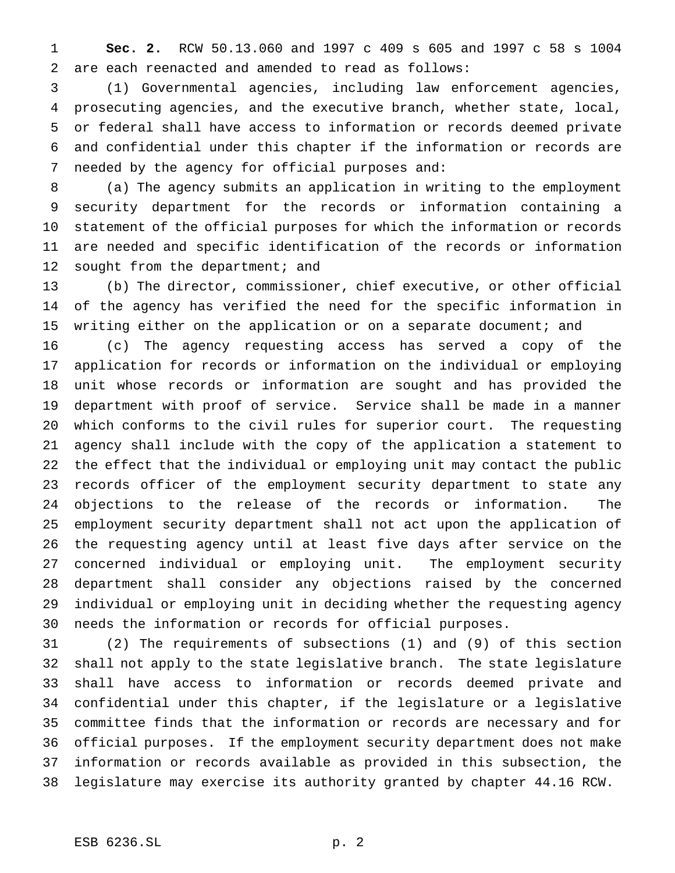**Sec. 2.** RCW 50.13.060 and 1997 c 409 s 605 and 1997 c 58 s 1004 are each reenacted and amended to read as follows:

 (1) Governmental agencies, including law enforcement agencies, prosecuting agencies, and the executive branch, whether state, local, or federal shall have access to information or records deemed private and confidential under this chapter if the information or records are needed by the agency for official purposes and:

 (a) The agency submits an application in writing to the employment security department for the records or information containing a statement of the official purposes for which the information or records are needed and specific identification of the records or information 12 sought from the department; and

 (b) The director, commissioner, chief executive, or other official of the agency has verified the need for the specific information in 15 writing either on the application or on a separate document; and

 (c) The agency requesting access has served a copy of the application for records or information on the individual or employing unit whose records or information are sought and has provided the department with proof of service. Service shall be made in a manner which conforms to the civil rules for superior court. The requesting agency shall include with the copy of the application a statement to the effect that the individual or employing unit may contact the public records officer of the employment security department to state any objections to the release of the records or information. The employment security department shall not act upon the application of the requesting agency until at least five days after service on the concerned individual or employing unit. The employment security department shall consider any objections raised by the concerned individual or employing unit in deciding whether the requesting agency needs the information or records for official purposes.

 (2) The requirements of subsections (1) and (9) of this section shall not apply to the state legislative branch. The state legislature shall have access to information or records deemed private and confidential under this chapter, if the legislature or a legislative committee finds that the information or records are necessary and for official purposes. If the employment security department does not make information or records available as provided in this subsection, the legislature may exercise its authority granted by chapter 44.16 RCW.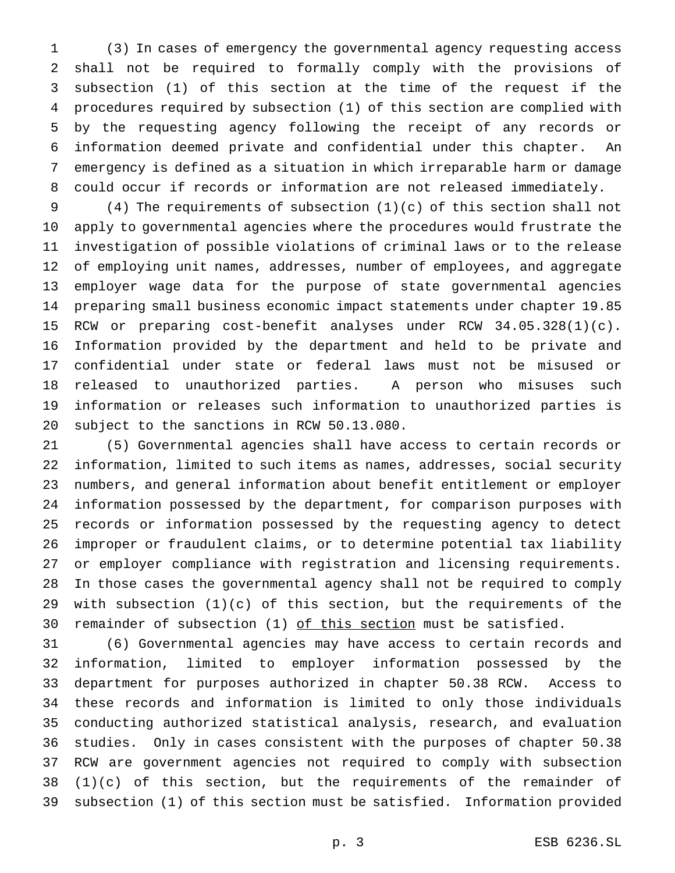(3) In cases of emergency the governmental agency requesting access shall not be required to formally comply with the provisions of subsection (1) of this section at the time of the request if the procedures required by subsection (1) of this section are complied with by the requesting agency following the receipt of any records or information deemed private and confidential under this chapter. An emergency is defined as a situation in which irreparable harm or damage could occur if records or information are not released immediately.

 (4) The requirements of subsection (1)(c) of this section shall not apply to governmental agencies where the procedures would frustrate the investigation of possible violations of criminal laws or to the release of employing unit names, addresses, number of employees, and aggregate employer wage data for the purpose of state governmental agencies preparing small business economic impact statements under chapter 19.85 RCW or preparing cost-benefit analyses under RCW 34.05.328(1)(c). Information provided by the department and held to be private and confidential under state or federal laws must not be misused or released to unauthorized parties. A person who misuses such information or releases such information to unauthorized parties is subject to the sanctions in RCW 50.13.080.

 (5) Governmental agencies shall have access to certain records or information, limited to such items as names, addresses, social security numbers, and general information about benefit entitlement or employer information possessed by the department, for comparison purposes with records or information possessed by the requesting agency to detect improper or fraudulent claims, or to determine potential tax liability or employer compliance with registration and licensing requirements. In those cases the governmental agency shall not be required to comply with subsection (1)(c) of this section, but the requirements of the 30 remainder of subsection (1) of this section must be satisfied.

 (6) Governmental agencies may have access to certain records and information, limited to employer information possessed by the department for purposes authorized in chapter 50.38 RCW. Access to these records and information is limited to only those individuals conducting authorized statistical analysis, research, and evaluation studies. Only in cases consistent with the purposes of chapter 50.38 RCW are government agencies not required to comply with subsection (1)(c) of this section, but the requirements of the remainder of subsection (1) of this section must be satisfied. Information provided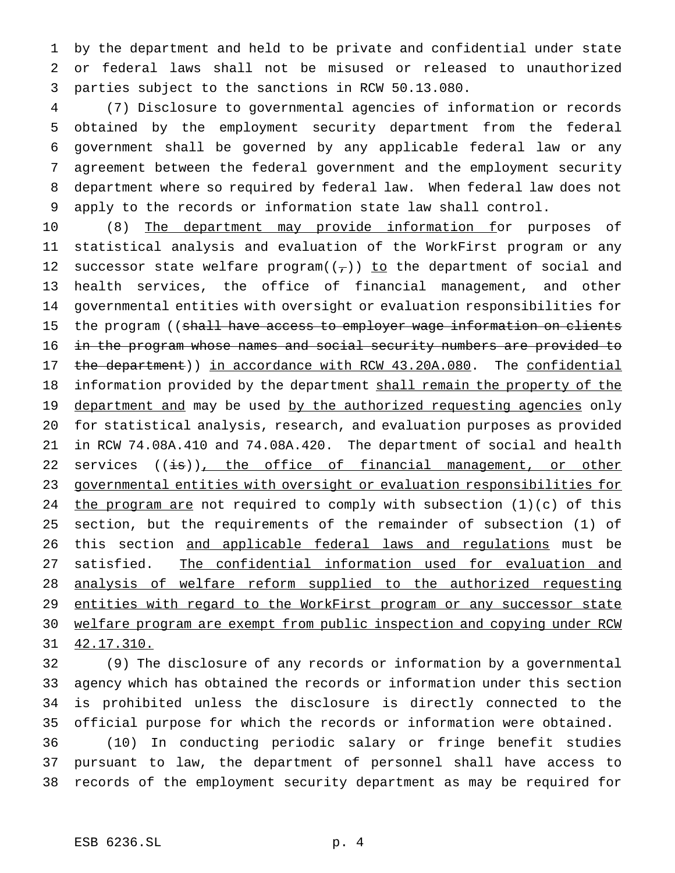by the department and held to be private and confidential under state or federal laws shall not be misused or released to unauthorized parties subject to the sanctions in RCW 50.13.080.

 (7) Disclosure to governmental agencies of information or records obtained by the employment security department from the federal government shall be governed by any applicable federal law or any agreement between the federal government and the employment security department where so required by federal law. When federal law does not apply to the records or information state law shall control.

10 (8) The department may provide information for purposes of statistical analysis and evaluation of the WorkFirst program or any 12 successor state welfare program $((-))$  to the department of social and health services, the office of financial management, and other governmental entities with oversight or evaluation responsibilities for 15 the program ((shall have access to employer wage information on clients in the program whose names and social security numbers are provided to 17 the department)) in accordance with RCW 43.20A.080. The confidential 18 information provided by the department shall remain the property of the 19 department and may be used by the authorized requesting agencies only for statistical analysis, research, and evaluation purposes as provided in RCW 74.08A.410 and 74.08A.420. The department of social and health 22 services  $((\frac{1}{18}))$ , the office of financial management, or other governmental entities with oversight or evaluation responsibilities for 24 the program are not required to comply with subsection  $(1)(c)$  of this section, but the requirements of the remainder of subsection (1) of 26 this section and applicable federal laws and regulations must be satisfied. The confidential information used for evaluation and analysis of welfare reform supplied to the authorized requesting 29 entities with regard to the WorkFirst program or any successor state welfare program are exempt from public inspection and copying under RCW 42.17.310.

 (9) The disclosure of any records or information by a governmental agency which has obtained the records or information under this section is prohibited unless the disclosure is directly connected to the official purpose for which the records or information were obtained. (10) In conducting periodic salary or fringe benefit studies pursuant to law, the department of personnel shall have access to records of the employment security department as may be required for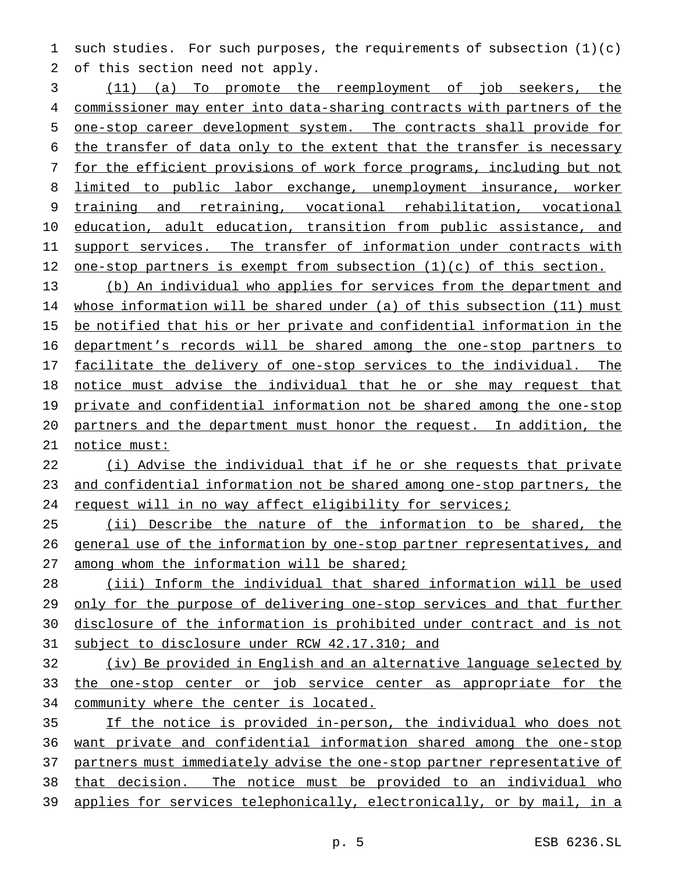such studies. For such purposes, the requirements of subsection (1)(c) of this section need not apply.

 (11) (a) To promote the reemployment of job seekers, the commissioner may enter into data-sharing contracts with partners of the one-stop career development system. The contracts shall provide for the transfer of data only to the extent that the transfer is necessary for the efficient provisions of work force programs, including but not 8 limited to public labor exchange, unemployment insurance, worker training and retraining, vocational rehabilitation, vocational 10 education, adult education, transition from public assistance, and 11 support services. The transfer of information under contracts with 12 one-stop partners is exempt from subsection (1)(c) of this section.

 (b) An individual who applies for services from the department and whose information will be shared under (a) of this subsection (11) must be notified that his or her private and confidential information in the 16 department's records will be shared among the one-stop partners to facilitate the delivery of one-stop services to the individual. The notice must advise the individual that he or she may request that 19 private and confidential information not be shared among the one-stop partners and the department must honor the request. In addition, the notice must:

 (i) Advise the individual that if he or she requests that private and confidential information not be shared among one-stop partners, the 24 request will in no way affect eligibility for services;

 (ii) Describe the nature of the information to be shared, the general use of the information by one-stop partner representatives, and 27 among whom the information will be shared;

 (iii) Inform the individual that shared information will be used 29 only for the purpose of delivering one-stop services and that further disclosure of the information is prohibited under contract and is not 31 subject to disclosure under RCW 42.17.310; and

 (iv) Be provided in English and an alternative language selected by the one-stop center or job service center as appropriate for the community where the center is located.

 If the notice is provided in-person, the individual who does not want private and confidential information shared among the one-stop partners must immediately advise the one-stop partner representative of that decision. The notice must be provided to an individual who applies for services telephonically, electronically, or by mail, in a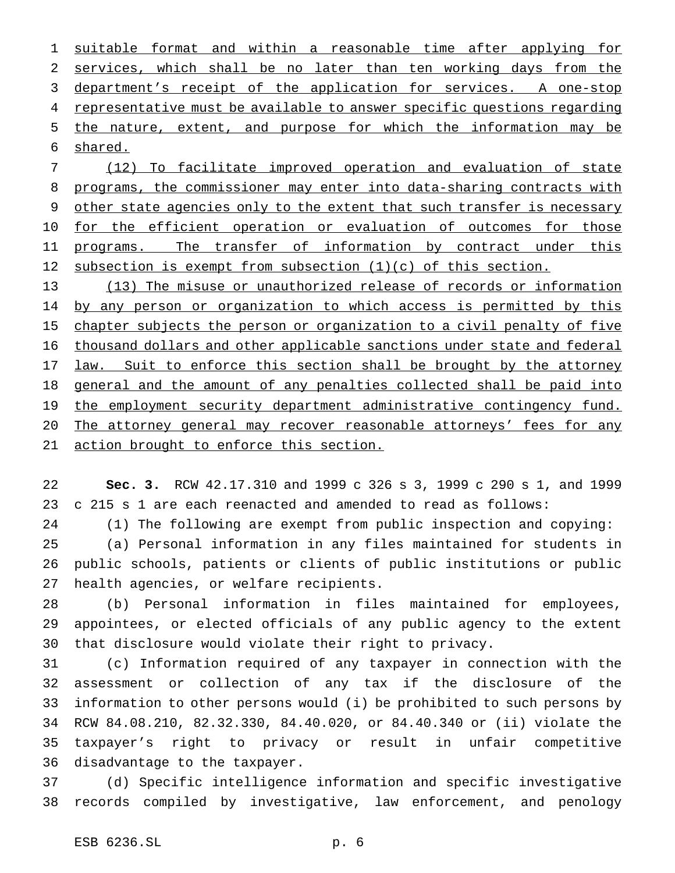suitable format and within a reasonable time after applying for services, which shall be no later than ten working days from the department's receipt of the application for services. A one-stop 4 representative must be available to answer specific questions regarding the nature, extent, and purpose for which the information may be shared.

 (12) To facilitate improved operation and evaluation of state programs, the commissioner may enter into data-sharing contracts with other state agencies only to the extent that such transfer is necessary 10 for the efficient operation or evaluation of outcomes for those 11 programs. The transfer of information by contract under this 12 subsection is exempt from subsection (1)(c) of this section.

 (13) The misuse or unauthorized release of records or information 14 by any person or organization to which access is permitted by this 15 chapter subjects the person or organization to a civil penalty of five thousand dollars and other applicable sanctions under state and federal 17 law. Suit to enforce this section shall be brought by the attorney 18 general and the amount of any penalties collected shall be paid into 19 the employment security department administrative contingency fund. The attorney general may recover reasonable attorneys' fees for any action brought to enforce this section.

 **Sec. 3.** RCW 42.17.310 and 1999 c 326 s 3, 1999 c 290 s 1, and 1999 c 215 s 1 are each reenacted and amended to read as follows:

(1) The following are exempt from public inspection and copying:

 (a) Personal information in any files maintained for students in public schools, patients or clients of public institutions or public health agencies, or welfare recipients.

 (b) Personal information in files maintained for employees, appointees, or elected officials of any public agency to the extent that disclosure would violate their right to privacy.

 (c) Information required of any taxpayer in connection with the assessment or collection of any tax if the disclosure of the information to other persons would (i) be prohibited to such persons by RCW 84.08.210, 82.32.330, 84.40.020, or 84.40.340 or (ii) violate the taxpayer's right to privacy or result in unfair competitive disadvantage to the taxpayer.

 (d) Specific intelligence information and specific investigative records compiled by investigative, law enforcement, and penology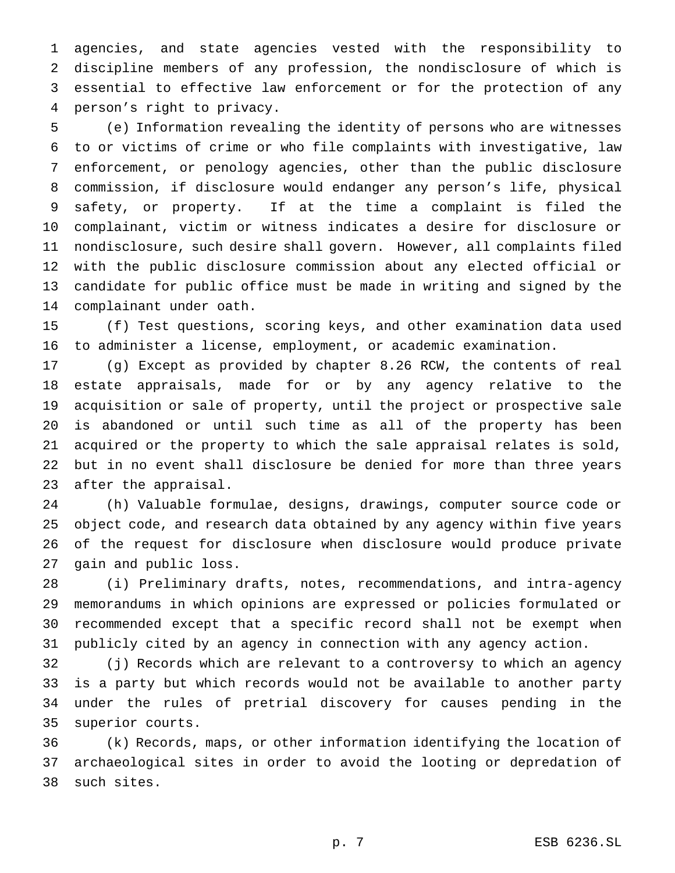agencies, and state agencies vested with the responsibility to discipline members of any profession, the nondisclosure of which is essential to effective law enforcement or for the protection of any person's right to privacy.

 (e) Information revealing the identity of persons who are witnesses to or victims of crime or who file complaints with investigative, law enforcement, or penology agencies, other than the public disclosure commission, if disclosure would endanger any person's life, physical safety, or property. If at the time a complaint is filed the complainant, victim or witness indicates a desire for disclosure or nondisclosure, such desire shall govern. However, all complaints filed with the public disclosure commission about any elected official or candidate for public office must be made in writing and signed by the complainant under oath.

 (f) Test questions, scoring keys, and other examination data used to administer a license, employment, or academic examination.

 (g) Except as provided by chapter 8.26 RCW, the contents of real estate appraisals, made for or by any agency relative to the acquisition or sale of property, until the project or prospective sale is abandoned or until such time as all of the property has been acquired or the property to which the sale appraisal relates is sold, but in no event shall disclosure be denied for more than three years after the appraisal.

 (h) Valuable formulae, designs, drawings, computer source code or object code, and research data obtained by any agency within five years of the request for disclosure when disclosure would produce private gain and public loss.

 (i) Preliminary drafts, notes, recommendations, and intra-agency memorandums in which opinions are expressed or policies formulated or recommended except that a specific record shall not be exempt when publicly cited by an agency in connection with any agency action.

 (j) Records which are relevant to a controversy to which an agency is a party but which records would not be available to another party under the rules of pretrial discovery for causes pending in the superior courts.

 (k) Records, maps, or other information identifying the location of archaeological sites in order to avoid the looting or depredation of such sites.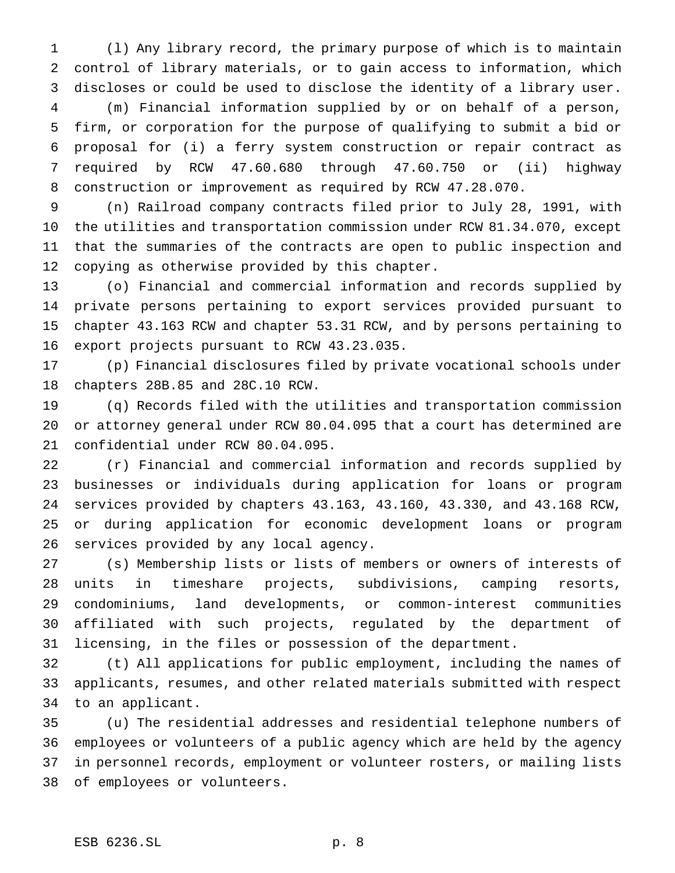(l) Any library record, the primary purpose of which is to maintain control of library materials, or to gain access to information, which discloses or could be used to disclose the identity of a library user.

 (m) Financial information supplied by or on behalf of a person, firm, or corporation for the purpose of qualifying to submit a bid or proposal for (i) a ferry system construction or repair contract as required by RCW 47.60.680 through 47.60.750 or (ii) highway construction or improvement as required by RCW 47.28.070.

 (n) Railroad company contracts filed prior to July 28, 1991, with the utilities and transportation commission under RCW 81.34.070, except that the summaries of the contracts are open to public inspection and copying as otherwise provided by this chapter.

 (o) Financial and commercial information and records supplied by private persons pertaining to export services provided pursuant to chapter 43.163 RCW and chapter 53.31 RCW, and by persons pertaining to export projects pursuant to RCW 43.23.035.

 (p) Financial disclosures filed by private vocational schools under chapters 28B.85 and 28C.10 RCW.

 (q) Records filed with the utilities and transportation commission or attorney general under RCW 80.04.095 that a court has determined are confidential under RCW 80.04.095.

 (r) Financial and commercial information and records supplied by businesses or individuals during application for loans or program services provided by chapters 43.163, 43.160, 43.330, and 43.168 RCW, or during application for economic development loans or program services provided by any local agency.

 (s) Membership lists or lists of members or owners of interests of units in timeshare projects, subdivisions, camping resorts, condominiums, land developments, or common-interest communities affiliated with such projects, regulated by the department of licensing, in the files or possession of the department.

 (t) All applications for public employment, including the names of applicants, resumes, and other related materials submitted with respect to an applicant.

 (u) The residential addresses and residential telephone numbers of employees or volunteers of a public agency which are held by the agency in personnel records, employment or volunteer rosters, or mailing lists of employees or volunteers.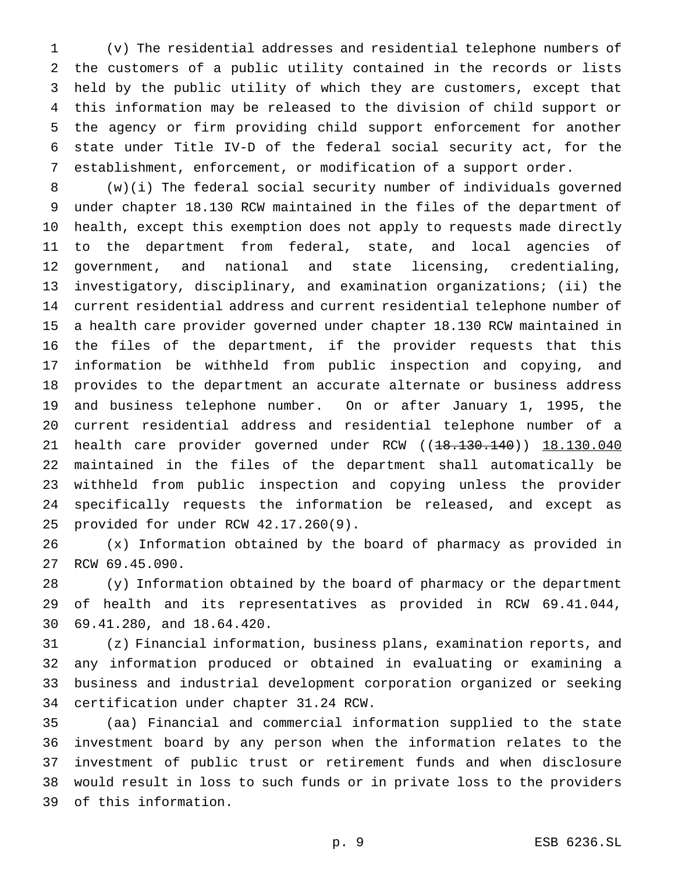(v) The residential addresses and residential telephone numbers of the customers of a public utility contained in the records or lists held by the public utility of which they are customers, except that this information may be released to the division of child support or the agency or firm providing child support enforcement for another state under Title IV-D of the federal social security act, for the establishment, enforcement, or modification of a support order.

 (w)(i) The federal social security number of individuals governed under chapter 18.130 RCW maintained in the files of the department of health, except this exemption does not apply to requests made directly to the department from federal, state, and local agencies of government, and national and state licensing, credentialing, investigatory, disciplinary, and examination organizations; (ii) the current residential address and current residential telephone number of a health care provider governed under chapter 18.130 RCW maintained in the files of the department, if the provider requests that this information be withheld from public inspection and copying, and provides to the department an accurate alternate or business address and business telephone number. On or after January 1, 1995, the current residential address and residential telephone number of a 21 health care provider governed under RCW ((18.130.140)) 18.130.040 maintained in the files of the department shall automatically be withheld from public inspection and copying unless the provider specifically requests the information be released, and except as provided for under RCW 42.17.260(9).

 (x) Information obtained by the board of pharmacy as provided in RCW 69.45.090.

 (y) Information obtained by the board of pharmacy or the department of health and its representatives as provided in RCW 69.41.044, 69.41.280, and 18.64.420.

 (z) Financial information, business plans, examination reports, and any information produced or obtained in evaluating or examining a business and industrial development corporation organized or seeking certification under chapter 31.24 RCW.

 (aa) Financial and commercial information supplied to the state investment board by any person when the information relates to the investment of public trust or retirement funds and when disclosure would result in loss to such funds or in private loss to the providers of this information.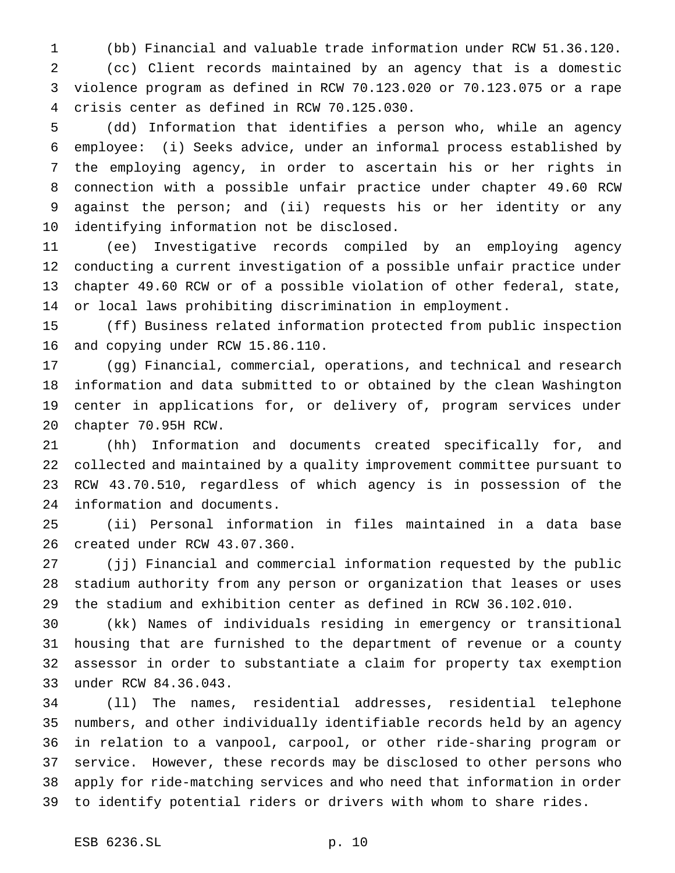(bb) Financial and valuable trade information under RCW 51.36.120. (cc) Client records maintained by an agency that is a domestic violence program as defined in RCW 70.123.020 or 70.123.075 or a rape crisis center as defined in RCW 70.125.030.

 (dd) Information that identifies a person who, while an agency employee: (i) Seeks advice, under an informal process established by the employing agency, in order to ascertain his or her rights in connection with a possible unfair practice under chapter 49.60 RCW against the person; and (ii) requests his or her identity or any identifying information not be disclosed.

 (ee) Investigative records compiled by an employing agency conducting a current investigation of a possible unfair practice under chapter 49.60 RCW or of a possible violation of other federal, state, or local laws prohibiting discrimination in employment.

 (ff) Business related information protected from public inspection and copying under RCW 15.86.110.

 (gg) Financial, commercial, operations, and technical and research information and data submitted to or obtained by the clean Washington center in applications for, or delivery of, program services under chapter 70.95H RCW.

 (hh) Information and documents created specifically for, and collected and maintained by a quality improvement committee pursuant to RCW 43.70.510, regardless of which agency is in possession of the information and documents.

 (ii) Personal information in files maintained in a data base created under RCW 43.07.360.

 (jj) Financial and commercial information requested by the public stadium authority from any person or organization that leases or uses the stadium and exhibition center as defined in RCW 36.102.010.

 (kk) Names of individuals residing in emergency or transitional housing that are furnished to the department of revenue or a county assessor in order to substantiate a claim for property tax exemption under RCW 84.36.043.

 (ll) The names, residential addresses, residential telephone numbers, and other individually identifiable records held by an agency in relation to a vanpool, carpool, or other ride-sharing program or service. However, these records may be disclosed to other persons who apply for ride-matching services and who need that information in order to identify potential riders or drivers with whom to share rides.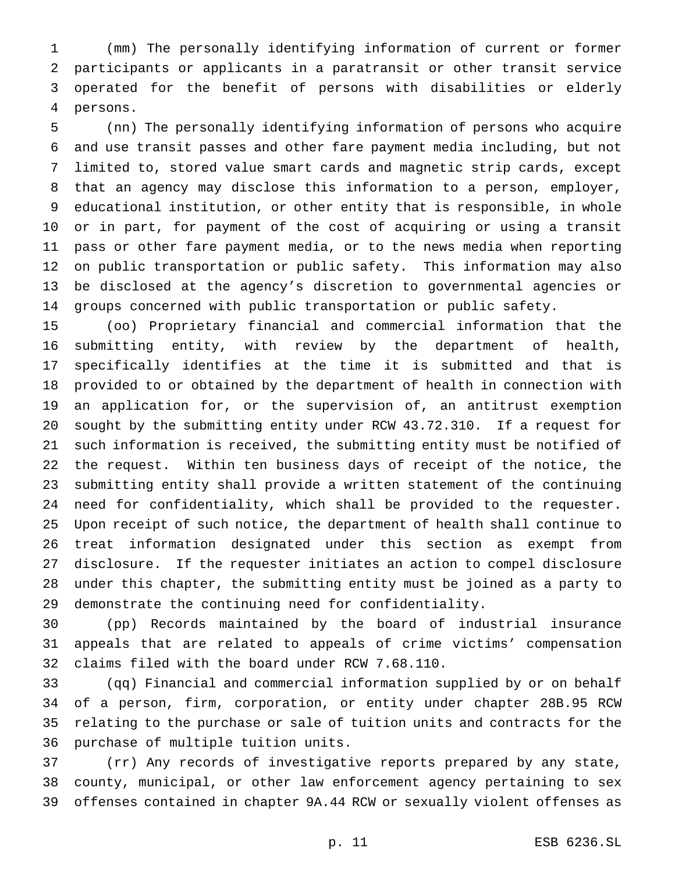(mm) The personally identifying information of current or former participants or applicants in a paratransit or other transit service operated for the benefit of persons with disabilities or elderly persons.

 (nn) The personally identifying information of persons who acquire and use transit passes and other fare payment media including, but not limited to, stored value smart cards and magnetic strip cards, except that an agency may disclose this information to a person, employer, educational institution, or other entity that is responsible, in whole or in part, for payment of the cost of acquiring or using a transit pass or other fare payment media, or to the news media when reporting on public transportation or public safety. This information may also be disclosed at the agency's discretion to governmental agencies or groups concerned with public transportation or public safety.

 (oo) Proprietary financial and commercial information that the submitting entity, with review by the department of health, specifically identifies at the time it is submitted and that is provided to or obtained by the department of health in connection with an application for, or the supervision of, an antitrust exemption sought by the submitting entity under RCW 43.72.310. If a request for such information is received, the submitting entity must be notified of the request. Within ten business days of receipt of the notice, the submitting entity shall provide a written statement of the continuing need for confidentiality, which shall be provided to the requester. Upon receipt of such notice, the department of health shall continue to treat information designated under this section as exempt from disclosure. If the requester initiates an action to compel disclosure under this chapter, the submitting entity must be joined as a party to demonstrate the continuing need for confidentiality.

 (pp) Records maintained by the board of industrial insurance appeals that are related to appeals of crime victims' compensation claims filed with the board under RCW 7.68.110.

 (qq) Financial and commercial information supplied by or on behalf of a person, firm, corporation, or entity under chapter 28B.95 RCW relating to the purchase or sale of tuition units and contracts for the purchase of multiple tuition units.

 (rr) Any records of investigative reports prepared by any state, county, municipal, or other law enforcement agency pertaining to sex offenses contained in chapter 9A.44 RCW or sexually violent offenses as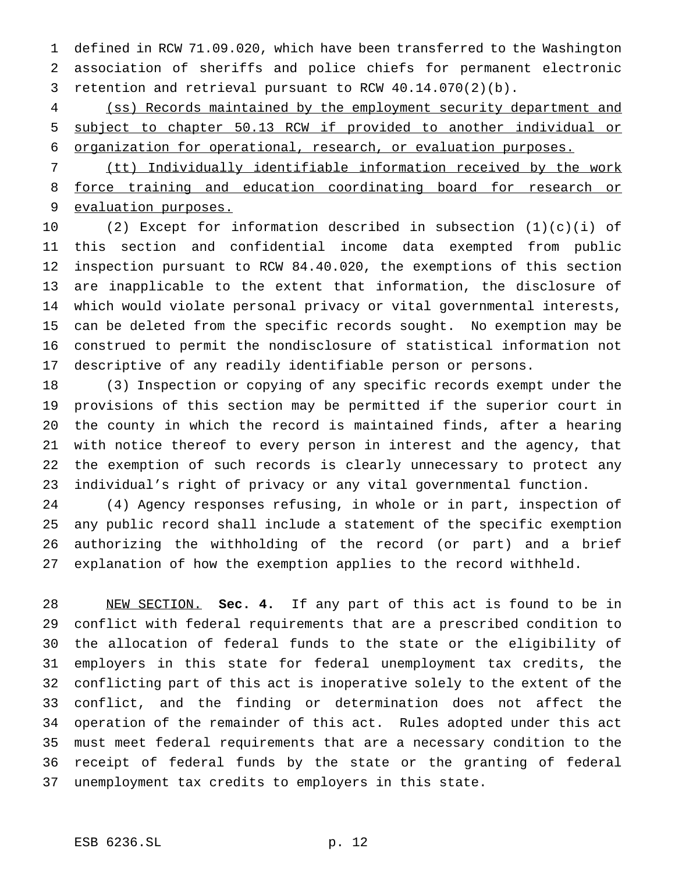defined in RCW 71.09.020, which have been transferred to the Washington association of sheriffs and police chiefs for permanent electronic retention and retrieval pursuant to RCW 40.14.070(2)(b).

 (ss) Records maintained by the employment security department and subject to chapter 50.13 RCW if provided to another individual or organization for operational, research, or evaluation purposes.

 (tt) Individually identifiable information received by the work force training and education coordinating board for research or evaluation purposes.

 (2) Except for information described in subsection (1)(c)(i) of this section and confidential income data exempted from public inspection pursuant to RCW 84.40.020, the exemptions of this section are inapplicable to the extent that information, the disclosure of which would violate personal privacy or vital governmental interests, can be deleted from the specific records sought. No exemption may be construed to permit the nondisclosure of statistical information not descriptive of any readily identifiable person or persons.

 (3) Inspection or copying of any specific records exempt under the provisions of this section may be permitted if the superior court in the county in which the record is maintained finds, after a hearing with notice thereof to every person in interest and the agency, that the exemption of such records is clearly unnecessary to protect any individual's right of privacy or any vital governmental function.

 (4) Agency responses refusing, in whole or in part, inspection of any public record shall include a statement of the specific exemption authorizing the withholding of the record (or part) and a brief explanation of how the exemption applies to the record withheld.

 NEW SECTION. **Sec. 4.** If any part of this act is found to be in conflict with federal requirements that are a prescribed condition to the allocation of federal funds to the state or the eligibility of employers in this state for federal unemployment tax credits, the conflicting part of this act is inoperative solely to the extent of the conflict, and the finding or determination does not affect the operation of the remainder of this act. Rules adopted under this act must meet federal requirements that are a necessary condition to the receipt of federal funds by the state or the granting of federal unemployment tax credits to employers in this state.